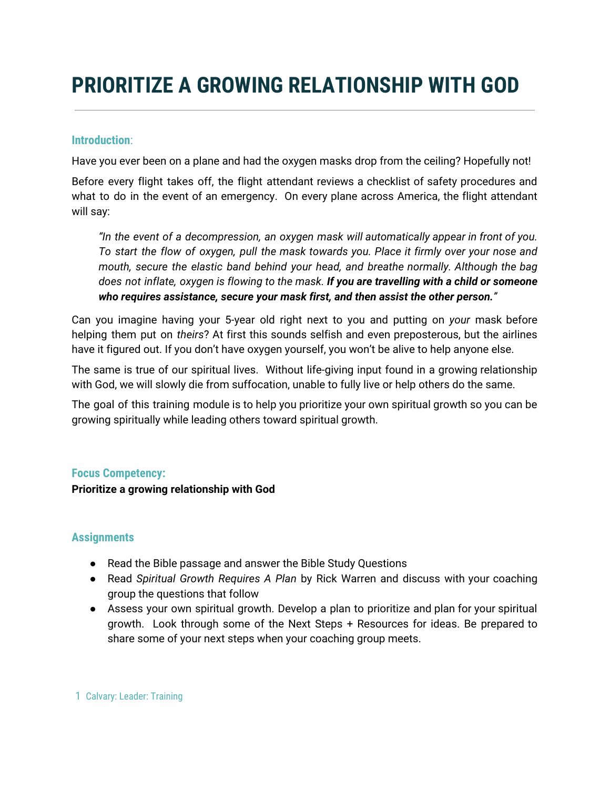# **PRIORITIZE A GROWING RELATIONSHIP WITH GOD**

## **Introduction**:

Have you ever been on a plane and had the oxygen masks drop from the ceiling? Hopefully not!

Before every flight takes off, the flight attendant reviews a checklist of safety procedures and what to do in the event of an emergency. On every plane across America, the flight attendant will say:

*"In the event of a decompression, an oxygen mask will automatically appear in front of you. To start the flow of oxygen, pull the mask towards you. Place it firmly over your nose and mouth, secure the elastic band behind your head, and breathe normally. Although the bag does not inflate, oxygen is flowing to the mask. If you are travelling with a child or someone who requires assistance, secure your mask first, and then assist the other person."*

Can you imagine having your 5-year old right next to you and putting on *your* mask before helping them put on *theirs*? At first this sounds selfish and even preposterous, but the airlines have it figured out. If you don't have oxygen yourself, you won't be alive to help anyone else.

The same is true of our spiritual lives. Without life-giving input found in a growing relationship with God, we will slowly die from suffocation, unable to fully live or help others do the same.

The goal of this training module is to help you prioritize your own spiritual growth so you can be growing spiritually while leading others toward spiritual growth.

## **Focus Competency:**

**Prioritize a growing relationship with God**

## **Assignments**

- Read the Bible passage and answer the Bible Study Questions
- Read *Spiritual Growth Requires A Plan* by Rick Warren and discuss with your coaching group the questions that follow
- Assess your own spiritual growth. Develop a plan to prioritize and plan for your spiritual growth. Look through some of the Next Steps + Resources for ideas. Be prepared to share some of your next steps when your coaching group meets.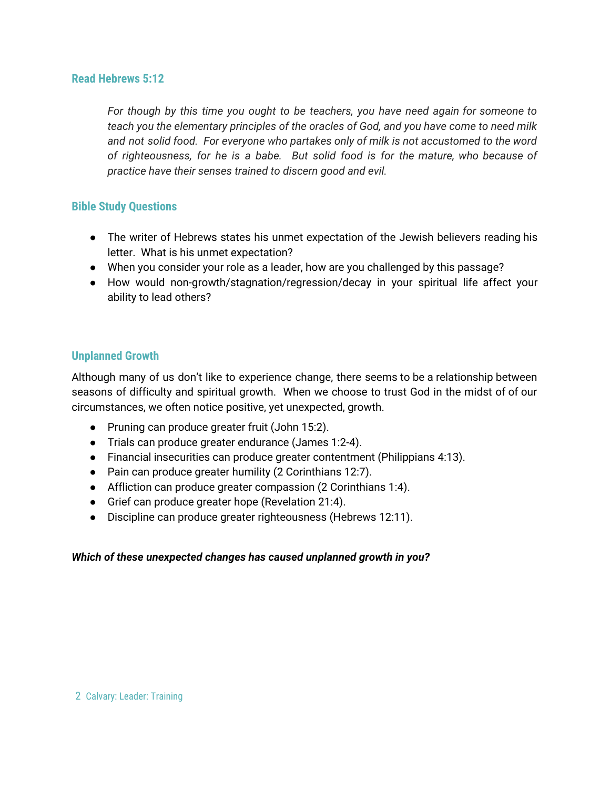### **Read Hebrews 5:12**

*For though by this time you ought to be teachers, you have need again for someone to teach you the elementary principles of the oracles of God, and you have come to need milk and not solid food. For everyone who partakes only of milk is not accustomed to the word of righteousness, for he is a babe. But solid food is for the mature, who because of practice have their senses trained to discern good and evil.*

## **Bible Study Questions**

- The writer of Hebrews states his unmet expectation of the Jewish believers reading his letter. What is his unmet expectation?
- When you consider your role as a leader, how are you challenged by this passage?
- How would non-growth/stagnation/regression/decay in your spiritual life affect your ability to lead others?

### **Unplanned Growth**

Although many of us don't like to experience change, there seems to be a relationship between seasons of difficulty and spiritual growth. When we choose to trust God in the midst of of our circumstances, we often notice positive, yet unexpected, growth.

- Pruning can produce greater fruit (John 15:2).
- Trials can produce greater endurance (James 1:2-4).
- Financial insecurities can produce greater contentment (Philippians 4:13).
- Pain can produce greater humility (2 Corinthians 12:7).
- Affliction can produce greater compassion (2 Corinthians 1:4).
- Grief can produce greater hope (Revelation 21:4).
- Discipline can produce greater righteousness (Hebrews 12:11).

## *Which of these unexpected changes has caused unplanned growth in you?*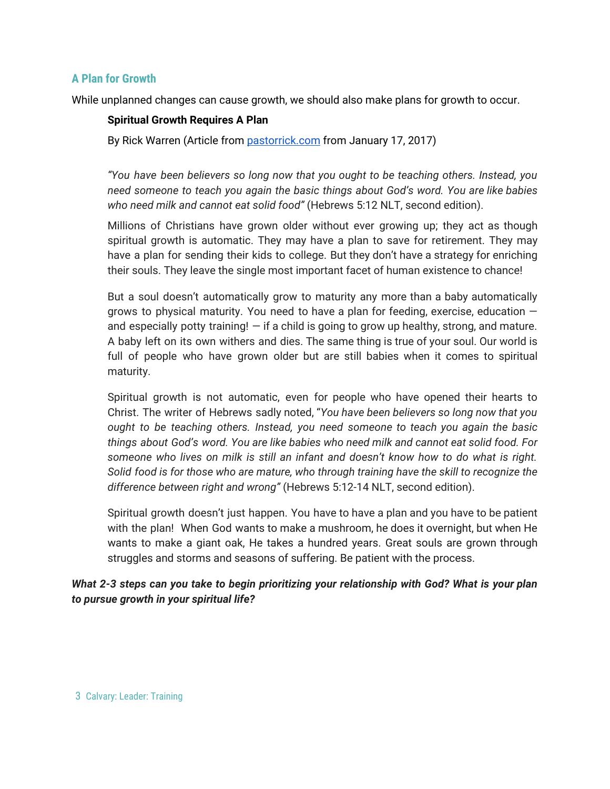## **A Plan for Growth**

While unplanned changes can cause growth, we should also make plans for growth to occur.

#### **Spiritual Growth Requires A Plan**

By Rick Warren (Article from [pastorrick.com](http://pastorrick.com/devotional/english/full-post/spiritual-growth-requires-a-plan) from January 17, 2017)

*"You have been believers so long now that you ought to be teaching others. Instead, you need someone to teach you again the basic things about God's word. You are like babies who need milk and cannot eat solid food"* (Hebrews 5:12 NLT, second edition).

Millions of Christians have grown older without ever growing up; they act as though spiritual growth is automatic. They may have a plan to save for retirement. They may have a plan for sending their kids to college. But they don't have a strategy for enriching their souls. They leave the single most important facet of human existence to chance!

But a soul doesn't automatically grow to maturity any more than a baby automatically grows to physical maturity. You need to have a plan for feeding, exercise, education  $$ and especially potty training!  $-$  if a child is going to grow up healthy, strong, and mature. A baby left on its own withers and dies. The same thing is true of your soul. Our world is full of people who have grown older but are still babies when it comes to spiritual maturity.

Spiritual growth is not automatic, even for people who have opened their hearts to Christ. The writer of Hebrews sadly noted, "*You have been believers so long now that you ought to be teaching others. Instead, you need someone to teach you again the basic things about God's word. You are like babies who need milk and cannot eat solid food. For someone who lives on milk is still an infant and doesn't know how to do what is right. Solid food is for those who are mature, who through training have the skill to recognize the difference between right and wrong"* (Hebrews 5:12-14 NLT, second edition).

Spiritual growth doesn't just happen. You have to have a plan and you have to be patient with the plan! When God wants to make a mushroom, he does it overnight, but when He wants to make a giant oak, He takes a hundred years. Great souls are grown through struggles and storms and seasons of suffering. Be patient with the process.

*What 2-3 steps can you take to begin prioritizing your relationship with God? What is your plan to pursue growth in your spiritual life?*